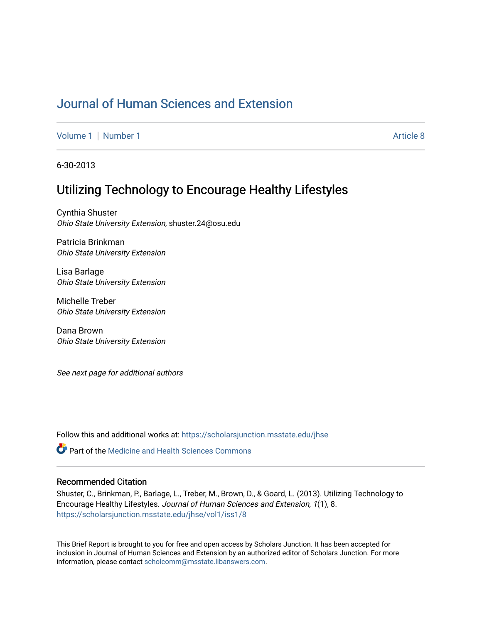# [Journal of Human Sciences and Extension](https://scholarsjunction.msstate.edu/jhse)

[Volume 1](https://scholarsjunction.msstate.edu/jhse/vol1) | [Number 1](https://scholarsjunction.msstate.edu/jhse/vol1/iss1) Article 8

6-30-2013

# Utilizing Technology to Encourage Healthy Lifestyles

Cynthia Shuster Ohio State University Extension, shuster.24@osu.edu

Patricia Brinkman Ohio State University Extension

Lisa Barlage Ohio State University Extension

Michelle Treber Ohio State University Extension

Dana Brown Ohio State University Extension

See next page for additional authors

Follow this and additional works at: [https://scholarsjunction.msstate.edu/jhse](https://scholarsjunction.msstate.edu/jhse?utm_source=scholarsjunction.msstate.edu%2Fjhse%2Fvol1%2Fiss1%2F8&utm_medium=PDF&utm_campaign=PDFCoverPages)

**C** Part of the Medicine and Health Sciences Commons

#### Recommended Citation

Shuster, C., Brinkman, P., Barlage, L., Treber, M., Brown, D., & Goard, L. (2013). Utilizing Technology to Encourage Healthy Lifestyles. Journal of Human Sciences and Extension, 1(1), 8. [https://scholarsjunction.msstate.edu/jhse/vol1/iss1/8](https://scholarsjunction.msstate.edu/jhse/vol1/iss1/8?utm_source=scholarsjunction.msstate.edu%2Fjhse%2Fvol1%2Fiss1%2F8&utm_medium=PDF&utm_campaign=PDFCoverPages)

This Brief Report is brought to you for free and open access by Scholars Junction. It has been accepted for inclusion in Journal of Human Sciences and Extension by an authorized editor of Scholars Junction. For more information, please contact [scholcomm@msstate.libanswers.com](mailto:scholcomm@msstate.libanswers.com).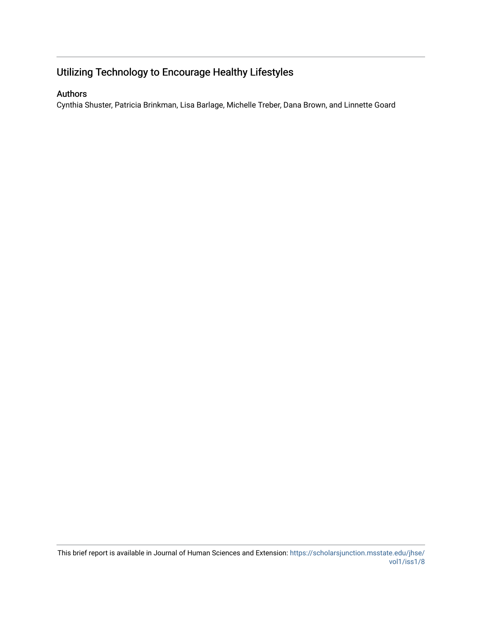# Utilizing Technology to Encourage Healthy Lifestyles

## Authors

Cynthia Shuster, Patricia Brinkman, Lisa Barlage, Michelle Treber, Dana Brown, and Linnette Goard

This brief report is available in Journal of Human Sciences and Extension: [https://scholarsjunction.msstate.edu/jhse/](https://scholarsjunction.msstate.edu/jhse/vol1/iss1/8) [vol1/iss1/8](https://scholarsjunction.msstate.edu/jhse/vol1/iss1/8)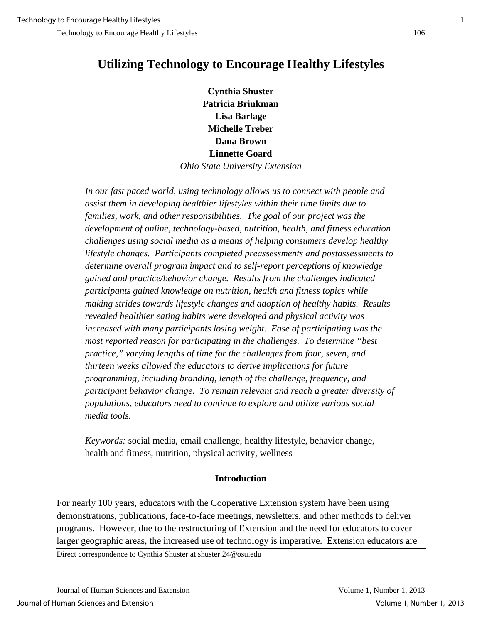# **Utilizing Technology to Encourage Healthy Lifestyles**

**Cynthia Shuster Patricia Brinkman Lisa Barlage Michelle Treber Dana Brown Linnette Goard** *Ohio State University Extension*

*In our fast paced world, using technology allows us to connect with people and assist them in developing healthier lifestyles within their time limits due to families, work, and other responsibilities. The goal of our project was the development of online, technology-based, nutrition, health, and fitness education challenges using social media as a means of helping consumers develop healthy lifestyle changes. Participants completed preassessments and postassessments to determine overall program impact and to self-report perceptions of knowledge gained and practice/behavior change. Results from the challenges indicated participants gained knowledge on nutrition, health and fitness topics while making strides towards lifestyle changes and adoption of healthy habits. Results revealed healthier eating habits were developed and physical activity was increased with many participants losing weight. Ease of participating was the most reported reason for participating in the challenges. To determine "best practice," varying lengths of time for the challenges from four, seven, and thirteen weeks allowed the educators to derive implications for future programming, including branding, length of the challenge, frequency, and participant behavior change. To remain relevant and reach a greater diversity of populations, educators need to continue to explore and utilize various social media tools.* 

*Keywords:* social media, email challenge, healthy lifestyle, behavior change, health and fitness, nutrition, physical activity, wellness

## **Introduction**

For nearly 100 years, educators with the Cooperative Extension system have been using demonstrations, publications, face-to-face meetings, newsletters, and other methods to deliver programs. However, due to the restructuring of Extension and the need for educators to cover larger geographic areas, the increased use of technology is imperative. Extension educators are

Direct correspondence to Cynthia Shuster at shuster.24@osu.edu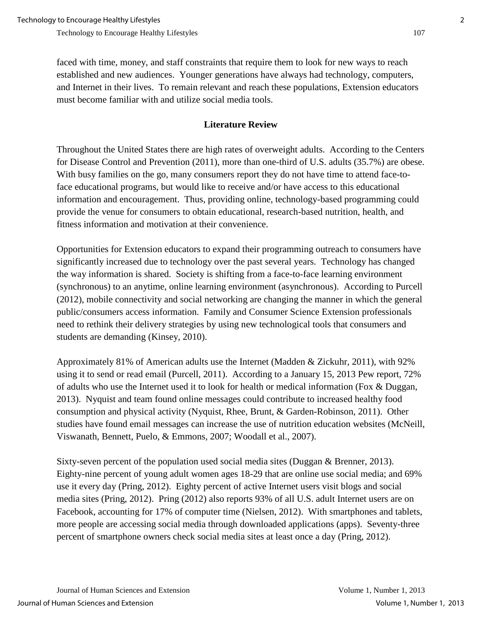faced with time, money, and staff constraints that require them to look for new ways to reach established and new audiences. Younger generations have always had technology, computers, and Internet in their lives. To remain relevant and reach these populations, Extension educators must become familiar with and utilize social media tools.

### **Literature Review**

Throughout the United States there are high rates of overweight adults. According to the Centers for Disease Control and Prevention (2011), more than one-third of U.S. adults (35.7%) are obese. With busy families on the go, many consumers report they do not have time to attend face-toface educational programs, but would like to receive and/or have access to this educational information and encouragement. Thus, providing online, technology-based programming could provide the venue for consumers to obtain educational, research-based nutrition, health, and fitness information and motivation at their convenience.

Opportunities for Extension educators to expand their programming outreach to consumers have significantly increased due to technology over the past several years. Technology has changed the way information is shared. Society is shifting from a face-to-face learning environment (synchronous) to an anytime, online learning environment (asynchronous). According to Purcell (2012), mobile connectivity and social networking are changing the manner in which the general public/consumers access information. Family and Consumer Science Extension professionals need to rethink their delivery strategies by using new technological tools that consumers and students are demanding (Kinsey, 2010).

Approximately 81% of American adults use the Internet (Madden & Zickuhr, 2011), with 92% using it to send or read email (Purcell, 2011). According to a January 15, 2013 Pew report, 72% of adults who use the Internet used it to look for health or medical information (Fox & Duggan, 2013). Nyquist and team found online messages could contribute to increased healthy food consumption and physical activity (Nyquist, Rhee, Brunt, & Garden-Robinson, 2011). Other studies have found email messages can increase the use of nutrition education websites (McNeill, Viswanath, Bennett, Puelo, & Emmons, 2007; Woodall et al., 2007).

Sixty-seven percent of the population used social media sites (Duggan & Brenner, 2013). Eighty-nine percent of young adult women ages 18-29 that are online use social media; and 69% use it every day (Pring, 2012). Eighty percent of active Internet users visit blogs and social media sites (Pring, 2012). Pring (2012) also reports 93% of all U.S. adult Internet users are on Facebook, accounting for 17% of computer time (Nielsen, 2012). With smartphones and tablets, more people are accessing social media through downloaded applications (apps). Seventy-three percent of smartphone owners check social media sites at least once a day (Pring, 2012).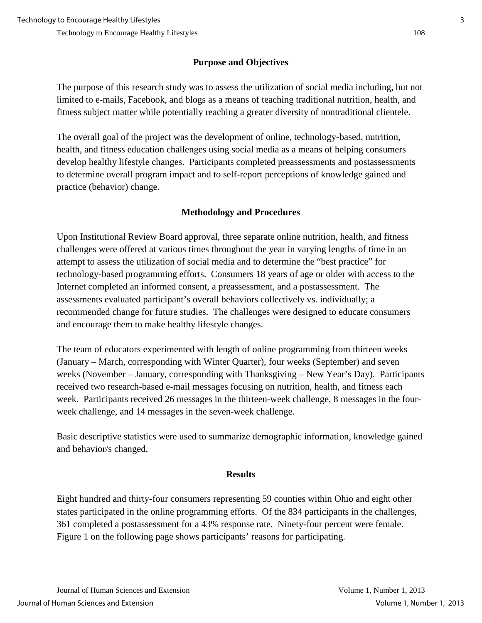## **Purpose and Objectives**

The purpose of this research study was to assess the utilization of social media including, but not limited to e-mails, Facebook, and blogs as a means of teaching traditional nutrition, health, and fitness subject matter while potentially reaching a greater diversity of nontraditional clientele.

The overall goal of the project was the development of online, technology-based, nutrition, health, and fitness education challenges using social media as a means of helping consumers develop healthy lifestyle changes. Participants completed preassessments and postassessments to determine overall program impact and to self-report perceptions of knowledge gained and practice (behavior) change.

# **Methodology and Procedures**

Upon Institutional Review Board approval, three separate online nutrition, health, and fitness challenges were offered at various times throughout the year in varying lengths of time in an attempt to assess the utilization of social media and to determine the "best practice" for technology-based programming efforts. Consumers 18 years of age or older with access to the Internet completed an informed consent, a preassessment, and a postassessment. The assessments evaluated participant's overall behaviors collectively vs. individually; a recommended change for future studies. The challenges were designed to educate consumers and encourage them to make healthy lifestyle changes.

The team of educators experimented with length of online programming from thirteen weeks (January – March, corresponding with Winter Quarter), four weeks (September) and seven weeks (November – January, corresponding with Thanksgiving – New Year's Day). Participants received two research-based e-mail messages focusing on nutrition, health, and fitness each week. Participants received 26 messages in the thirteen-week challenge, 8 messages in the fourweek challenge, and 14 messages in the seven-week challenge.

Basic descriptive statistics were used to summarize demographic information, knowledge gained and behavior/s changed.

#### **Results**

Eight hundred and thirty-four consumers representing 59 counties within Ohio and eight other states participated in the online programming efforts. Of the 834 participants in the challenges, 361 completed a postassessment for a 43% response rate. Ninety-four percent were female. Figure 1 on the following page shows participants' reasons for participating.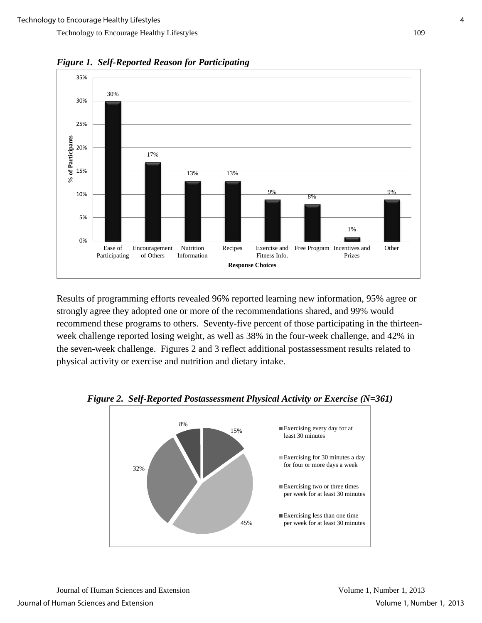

*Figure 1. Self-Reported Reason for Participating* 

Results of programming efforts revealed 96% reported learning new information, 95% agree or strongly agree they adopted one or more of the recommendations shared, and 99% would recommend these programs to others.Seventy-five percent of those participating in the thirteenweek challenge reported losing weight, as well as 38% in the four-week challenge, and 42% in the seven-week challenge.Figures 2 and 3 reflect additional postassessment results related to physical activity or exercise and nutrition and dietary intake.



 *Figure 2. Self-Reported Postassessment Physical Activity or Exercise (N=361)*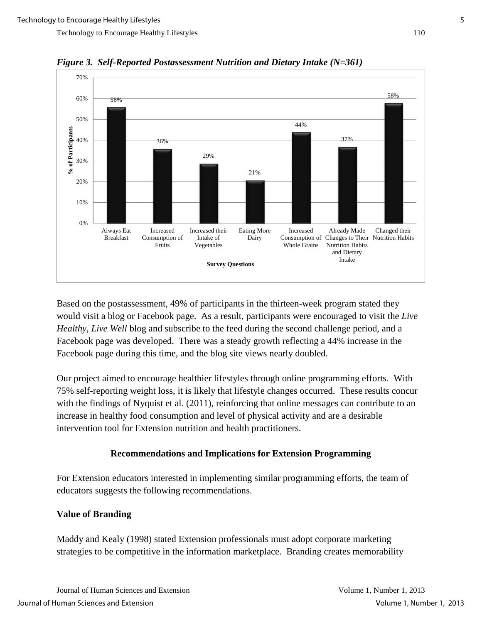

*Figure 3. Self-Reported Postassessment Nutrition and Dietary Intake (N=361)*

Based on the postassessment, 49% of participants in the thirteen-week program stated they would visit a blog or Facebook page. As a result, participants were encouraged to visit the *Live Healthy, Live Well* blog and subscribe to the feed during the second challenge period, and a Facebook page was developed. There was a steady growth reflecting a 44% increase in the Facebook page during this time, and the blog site views nearly doubled.

Our project aimed to encourage healthier lifestyles through online programming efforts. With 75% self-reporting weight loss, it is likely that lifestyle changes occurred. These results concur with the findings of Nyquist et al. (2011), reinforcing that online messages can contribute to an increase in healthy food consumption and level of physical activity and are a desirable intervention tool for Extension nutrition and health practitioners.

## **Recommendations and Implications for Extension Programming**

For Extension educators interested in implementing similar programming efforts, the team of educators suggests the following recommendations.

## **Value of Branding**

Maddy and Kealy (1998) stated Extension professionals must adopt corporate marketing strategies to be competitive in the information marketplace. Branding creates memorability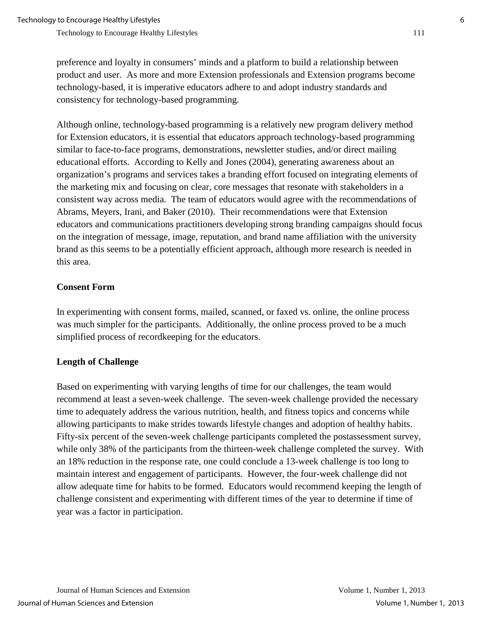preference and loyalty in consumers' minds and a platform to build a relationship between product and user. As more and more Extension professionals and Extension programs become technology-based, it is imperative educators adhere to and adopt industry standards and consistency for technology-based programming.

Although online, technology-based programming is a relatively new program delivery method for Extension educators, it is essential that educators approach technology-based programming similar to face-to-face programs, demonstrations, newsletter studies, and/or direct mailing educational efforts. According to Kelly and Jones (2004), generating awareness about an organization's programs and services takes a branding effort focused on integrating elements of the marketing mix and focusing on clear, core messages that resonate with stakeholders in a consistent way across media. The team of educators would agree with the recommendations of Abrams, Meyers, Irani, and Baker (2010). Their recommendations were that Extension educators and communications practitioners developing strong branding campaigns should focus on the integration of message, image, reputation, and brand name affiliation with the university brand as this seems to be a potentially efficient approach, although more research is needed in this area.

#### **Consent Form**

In experimenting with consent forms, mailed, scanned, or faxed vs. online, the online process was much simpler for the participants. Additionally, the online process proved to be a much simplified process of recordkeeping for the educators.

## **Length of Challenge**

Based on experimenting with varying lengths of time for our challenges, the team would recommend at least a seven-week challenge. The seven-week challenge provided the necessary time to adequately address the various nutrition, health, and fitness topics and concerns while allowing participants to make strides towards lifestyle changes and adoption of healthy habits. Fifty-six percent of the seven-week challenge participants completed the postassessment survey, while only 38% of the participants from the thirteen-week challenge completed the survey. With an 18% reduction in the response rate, one could conclude a 13-week challenge is too long to maintain interest and engagement of participants. However, the four-week challenge did not allow adequate time for habits to be formed. Educators would recommend keeping the length of challenge consistent and experimenting with different times of the year to determine if time of year was a factor in participation.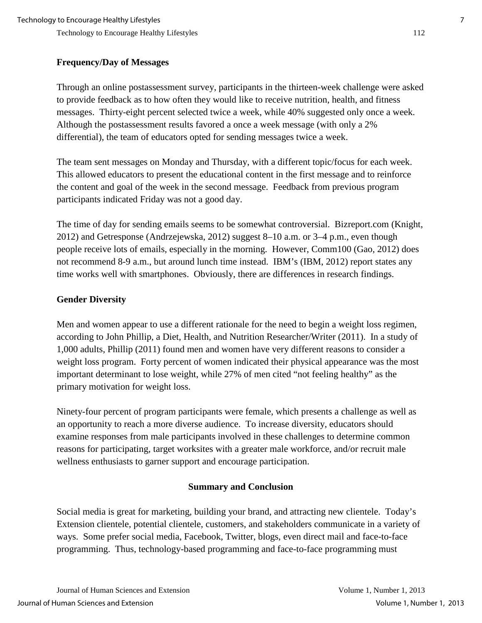# **Frequency/Day of Messages**

Through an online postassessment survey, participants in the thirteen-week challenge were asked to provide feedback as to how often they would like to receive nutrition, health, and fitness messages. Thirty-eight percent selected twice a week, while 40% suggested only once a week. Although the postassessment results favored a once a week message (with only a 2% differential), the team of educators opted for sending messages twice a week.

The team sent messages on Monday and Thursday, with a different topic/focus for each week. This allowed educators to present the educational content in the first message and to reinforce the content and goal of the week in the second message. Feedback from previous program participants indicated Friday was not a good day.

The time of day for sending emails seems to be somewhat controversial. Bizreport.com (Knight, 2012) and Getresponse (Andrzejewska, 2012) suggest 8–10 a.m. or 3–4 p.m., even though people receive lots of emails, especially in the morning. However, Comm100 (Gao, 2012) does not recommend 8-9 a.m., but around lunch time instead. IBM's (IBM, 2012) report states any time works well with smartphones. Obviously, there are differences in research findings.

## **Gender Diversity**

Men and women appear to use a different rationale for the need to begin a weight loss regimen, according to John Phillip, a Diet, Health, and Nutrition Researcher/Writer (2011). In a study of 1,000 adults, Phillip (2011) found men and women have very different reasons to consider a weight loss program. Forty percent of women indicated their physical appearance was the most important determinant to lose weight, while 27% of men cited "not feeling healthy" as the primary motivation for weight loss.

Ninety-four percent of program participants were female, which presents a challenge as well as an opportunity to reach a more diverse audience. To increase diversity, educators should examine responses from male participants involved in these challenges to determine common reasons for participating, target worksites with a greater male workforce, and/or recruit male wellness enthusiasts to garner support and encourage participation.

# **Summary and Conclusion**

Social media is great for marketing, building your brand, and attracting new clientele. Today's Extension clientele, potential clientele, customers, and stakeholders communicate in a variety of ways. Some prefer social media, Facebook, Twitter, blogs, even direct mail and face-to-face programming. Thus, technology-based programming and face-to-face programming must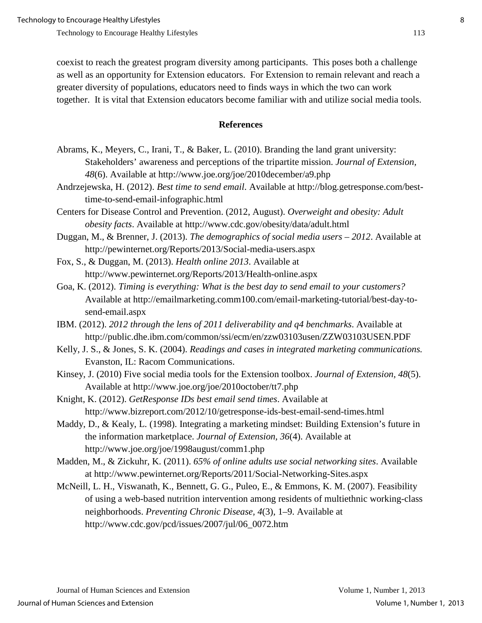coexist to reach the greatest program diversity among participants. This poses both a challenge as well as an opportunity for Extension educators. For Extension to remain relevant and reach a greater diversity of populations, educators need to finds ways in which the two can work together. It is vital that Extension educators become familiar with and utilize social media tools.

#### **References**

- Abrams, K., Meyers, C., Irani, T., & Baker, L. (2010). Branding the land grant university: Stakeholders' awareness and perceptions of the tripartite mission. *Journal of Extension, 48*(6). Available at http://www.joe.org/joe/2010december/a9.php
- Andrzejewska, H. (2012). *Best time to send email*. Available at http://blog.getresponse.com/besttime-to-send-email-infographic.html
- Centers for Disease Control and Prevention. (2012, August). *Overweight and obesity: Adult obesity facts*. Available at http://www.cdc.gov/obesity/data/adult.html
- Duggan, M., & Brenner, J. (2013). *The demographics of social media users 2012*. Available at http://pewinternet.org/Reports/2013/Social-media-users.aspx
- Fox, S., & Duggan, M. (2013). *Health online 2013*. Available at http://www.pewinternet.org/Reports/2013/Health-online.aspx
- Goa, K. (2012). *Timing is everything: What is the best day to send email to your customers?* Available at http://emailmarketing.comm100.com/email-marketing-tutorial/best-day-tosend-email.aspx
- IBM. (2012). *2012 through the lens of 2011 deliverability and q4 benchmarks*. Available at http://public.dhe.ibm.com/common/ssi/ecm/en/zzw03103usen/ZZW03103USEN.PDF
- Kelly, J. S., & Jones, S. K. (2004). *Readings and cases in integrated marketing communications.* Evanston, IL: Racom Communications.
- Kinsey, J. (2010) Five social media tools for the Extension toolbox. *Journal of Extension, 48*(5). Available at http://www.joe.org/joe/2010october/tt7.php
- Knight, K. (2012). *GetResponse IDs best email send times*. Available at http://www.bizreport.com/2012/10/getresponse-ids-best-email-send-times.html
- Maddy, D., & Kealy, L. (1998). Integrating a marketing mindset: Building Extension's future in the information marketplace. *Journal of Extension, 36*(4). Available at http://www.joe.org/joe/1998august/comm1.php
- Madden, M., & Zickuhr, K. (2011). *65% of online adults use social networking sites*. Available at http://www.pewinternet.org/Reports/2011/Social-Networking-Sites.aspx
- McNeill, L. H., Viswanath, K., Bennett, G. G., Puleo, E., & Emmons, K. M. (2007). Feasibility of using a web-based nutrition intervention among residents of multiethnic working-class neighborhoods. *Preventing Chronic Disease, 4*(3), 1–9. Available at http://www.cdc.gov/pcd/issues/2007/jul/06\_0072.htm